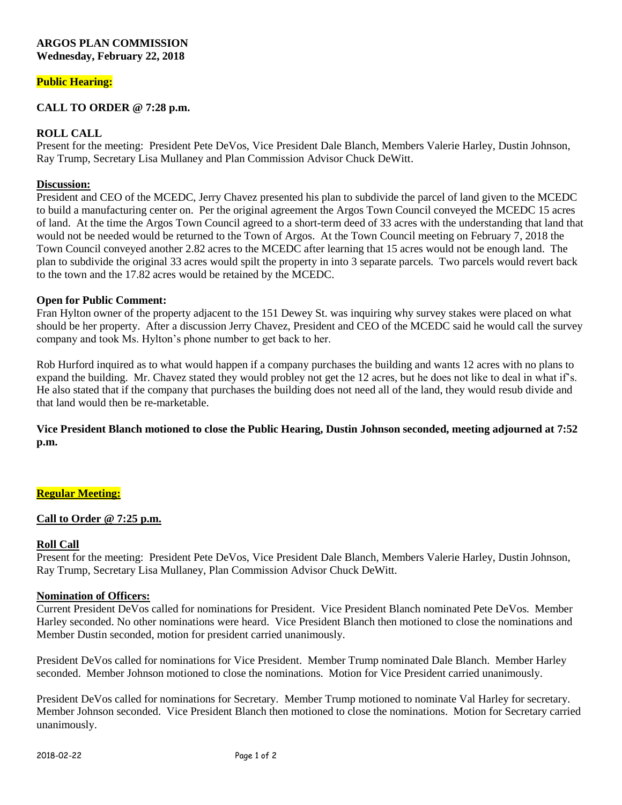### **ARGOS PLAN COMMISSION Wednesday, February 22, 2018**

# **Public Hearing:**

# **CALL TO ORDER @ 7:28 p.m.**

## **ROLL CALL**

Present for the meeting: President Pete DeVos, Vice President Dale Blanch, Members Valerie Harley, Dustin Johnson, Ray Trump, Secretary Lisa Mullaney and Plan Commission Advisor Chuck DeWitt.

## **Discussion:**

President and CEO of the MCEDC, Jerry Chavez presented his plan to subdivide the parcel of land given to the MCEDC to build a manufacturing center on. Per the original agreement the Argos Town Council conveyed the MCEDC 15 acres of land. At the time the Argos Town Council agreed to a short-term deed of 33 acres with the understanding that land that would not be needed would be returned to the Town of Argos. At the Town Council meeting on February 7, 2018 the Town Council conveyed another 2.82 acres to the MCEDC after learning that 15 acres would not be enough land. The plan to subdivide the original 33 acres would spilt the property in into 3 separate parcels. Two parcels would revert back to the town and the 17.82 acres would be retained by the MCEDC.

#### **Open for Public Comment:**

Fran Hylton owner of the property adjacent to the 151 Dewey St. was inquiring why survey stakes were placed on what should be her property. After a discussion Jerry Chavez, President and CEO of the MCEDC said he would call the survey company and took Ms. Hylton's phone number to get back to her.

Rob Hurford inquired as to what would happen if a company purchases the building and wants 12 acres with no plans to expand the building. Mr. Chavez stated they would probley not get the 12 acres, but he does not like to deal in what if's. He also stated that if the company that purchases the building does not need all of the land, they would resub divide and that land would then be re-marketable.

## **Vice President Blanch motioned to close the Public Hearing, Dustin Johnson seconded, meeting adjourned at 7:52 p.m.**

## **Regular Meeting:**

## **Call to Order @ 7:25 p.m.**

#### **Roll Call**

Present for the meeting: President Pete DeVos, Vice President Dale Blanch, Members Valerie Harley, Dustin Johnson, Ray Trump, Secretary Lisa Mullaney, Plan Commission Advisor Chuck DeWitt.

#### **Nomination of Officers:**

Current President DeVos called for nominations for President. Vice President Blanch nominated Pete DeVos. Member Harley seconded. No other nominations were heard. Vice President Blanch then motioned to close the nominations and Member Dustin seconded, motion for president carried unanimously.

President DeVos called for nominations for Vice President. Member Trump nominated Dale Blanch. Member Harley seconded. Member Johnson motioned to close the nominations. Motion for Vice President carried unanimously.

President DeVos called for nominations for Secretary. Member Trump motioned to nominate Val Harley for secretary. Member Johnson seconded. Vice President Blanch then motioned to close the nominations. Motion for Secretary carried unanimously.